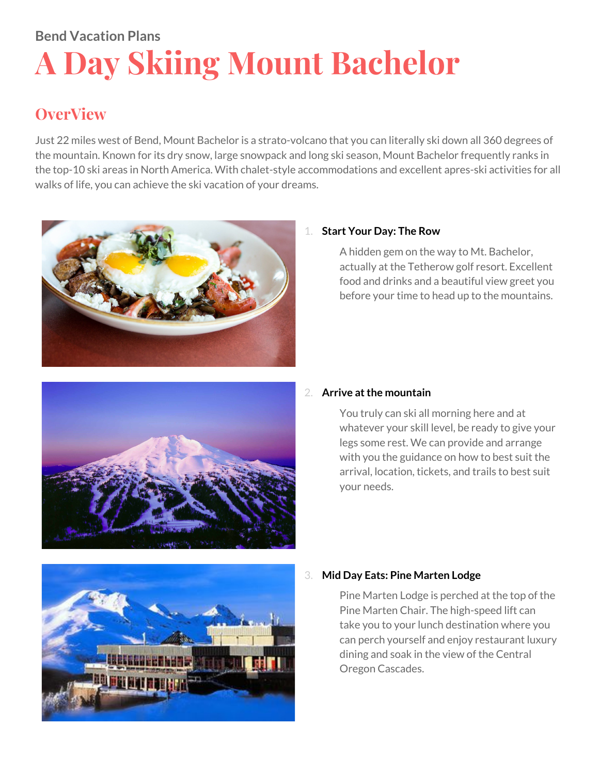# **Bend Vacation Plans A Day Skiing Mount Bachelor**

# **OverView**

Just 22 miles west of Bend, Mount Bachelor is a strato-volcano that you can literally ski down all 360 degrees of the mountain. Known for its dry snow, large snowpack and long ski season, Mount Bachelor frequently ranks in the top-10 ski areas in North America. With chalet-style accommodations and excellent apres-ski activities for all walks of life, you can achieve the ski vacation of your dreams.



# 1. **Start Your Day: The Row**

A hidden gem on the way to Mt. Bachelor, actually at the Tetherow golf resort. Excellent food and drinks and a beautiful view greet you before your time to head up to the mountains.



# 2. **Arrive atthe mountain**

You truly can ski all morning here and at whatever your skill level, be ready to give your legs some rest. We can provide and arrange with you the guidance on how to best suit the arrival, location, tickets, and trails to best suit your needs.



# 3. **Mid Day Eats: Pine Marten Lodge**

Pine Marten Lodge is perched at the top of the Pine Marten Chair. The high-speed lift can take you to your lunch destination where you can perch yourself and enjoy restaurant luxury dining and soak in the view of the Central Oregon Cascades.